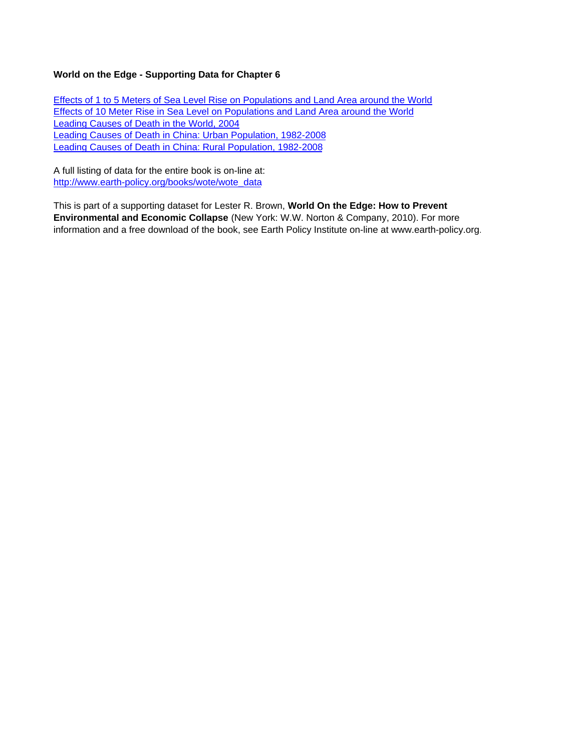# **World on the Edge - Supporting Data for Chapter 6**

Effects of 1 to 5 Meters of Sea Level Rise on Populations and Land Area around the World Effects of 10 Meter Rise in Sea Level on Populations and Land Area around the World Leading Causes of Death in the World, 2004 Leading Causes of Death in China: Urban Population, 1982-2008 Leading Causes of Death in China: Rural Population, 1982-2008

A full listing of data for the entire book is on-line at: http://www.earth-policy.org/books/wote/wote\_data

This is part of a supporting dataset for Lester R. Brown, **World On the Edge: How to Prevent Environmental and Economic Collapse** (New York: W.W. Norton & Company, 2010). For more information and a free download of the book, see Earth Policy Institute on-line at www.earth-policy.org.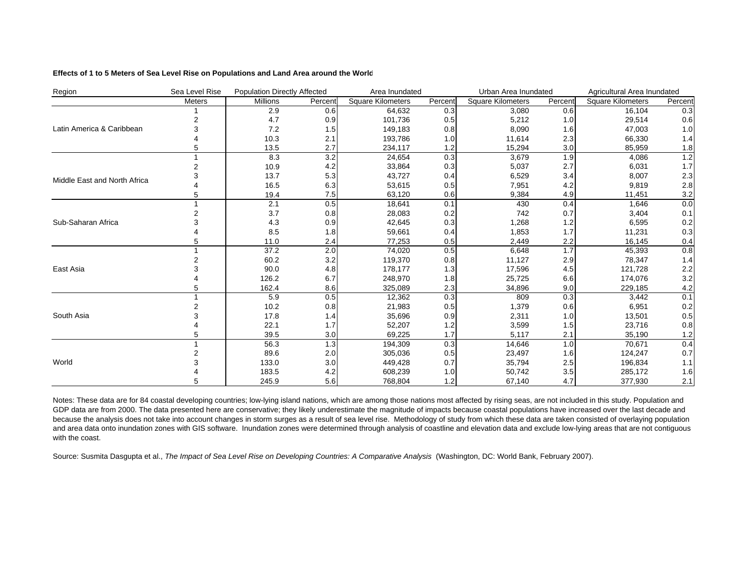### **Effects of 1 to 5 Meters of Sea Level Rise on Populations and Land Area around the World**

| Region                       | Sea Level Rise | <b>Population Directly Affected</b> |         | Area Inundated           |         | Urban Area Inundated     |         | Agricultural Area Inundated |         |
|------------------------------|----------------|-------------------------------------|---------|--------------------------|---------|--------------------------|---------|-----------------------------|---------|
|                              | Meters         | Millions                            | Percent | <b>Square Kilometers</b> | Percent | <b>Square Kilometers</b> | Percent | Square Kilometers           | Percent |
|                              |                | 2.9                                 | 0.6     | 64,632                   | 0.3     | 3,080                    | 0.6     | 16,104                      | 0.3     |
|                              |                | 4.7                                 | 0.9     | 101,736                  | 0.5     | 5,212                    | 1.0     | 29,514                      | 0.6     |
| Latin America & Caribbean    |                | 7.2                                 | 1.5     | 149,183                  | 0.8     | 8,090                    | 1.6     | 47,003                      | 1.0     |
|                              |                | 10.3                                | 2.1     | 193,786                  | 1.0     | 11,614                   | 2.3     | 66,330                      | 1.4     |
|                              |                | 13.5                                | 2.7     | 234,117                  | 1.2     | 15,294                   | 3.0     | 85,959                      | 1.8     |
|                              |                | 8.3                                 | 3.2     | 24,654                   | 0.3     | 3,679                    | 1.9     | 4,086                       | 1.2     |
|                              |                | 10.9                                | 4.2     | 33,864                   | 0.3     | 5,037                    | 2.7     | 6,031                       | 1.7     |
| Middle East and North Africa |                | 13.7                                | 5.3     | 43,727                   | 0.4     | 6,529                    | 3.4     | 8,007                       | 2.3     |
|                              |                | 16.5                                | 6.3     | 53,615                   | 0.5     | 7,951                    | 4.2     | 9,819                       | $2.8\,$ |
|                              |                | 19.4                                | 7.5     | 63,120                   | 0.6     | 9,384                    | 4.9     | 11,451                      | 3.2     |
|                              |                | 2.1                                 | 0.5     | 18,641                   | 0.1     | 430                      | 0.4     | 1,646                       | 0.0     |
|                              |                | 3.7                                 | 0.8     | 28,083                   | 0.2     | 742                      | 0.7     | 3,404                       | 0.1     |
| Sub-Saharan Africa           |                | 4.3                                 | 0.9     | 42,645                   | 0.3     | 1,268                    | 1.2     | 6,595                       | 0.2     |
|                              |                | 8.5                                 | 1.8     | 59,661                   | 0.4     | 1,853                    | 1.7     | 11,231                      | 0.3     |
|                              |                | 11.0                                | 2.4     | 77,253                   | 0.5     | 2,449                    | 2.2     | 16,145                      | 0.4     |
|                              |                | 37.2                                | 2.0     | 74,020                   | 0.5     | 6,648                    | 1.7     | 45,393                      | 0.8     |
|                              |                | 60.2                                | 3.2     | 119,370                  | 0.8     | 11,127                   | 2.9     | 78,347                      | 1.4     |
| East Asia                    |                | 90.0                                | 4.8     | 178,177                  | 1.3     | 17,596                   | 4.5     | 121,728                     | 2.2     |
|                              |                | 126.2                               | 6.7     | 248,970                  | 1.8     | 25,725                   | 6.6     | 174,076                     | 3.2     |
|                              |                | 162.4                               | 8.6     | 325,089                  | 2.3     | 34,896                   | 9.0     | 229,185                     | 4.2     |
|                              |                | 5.9                                 | 0.5     | 12,362                   | 0.3     | 809                      | 0.3     | 3,442                       | 0.1     |
|                              |                | 10.2                                | 0.8     | 21,983                   | 0.5     | 1,379                    | 0.6     | 6,951                       | 0.2     |
| South Asia                   |                | 17.8                                | 1.4     | 35,696                   | 0.9     | 2,311                    | 1.0     | 13,501                      | 0.5     |
|                              |                | 22.1                                | 1.7     | 52,207                   | 1.2     | 3,599                    | 1.5     | 23,716                      | 0.8     |
|                              |                | 39.5                                | 3.0     | 69,225                   | 1.7     | 5,117                    | 2.1     | 35,190                      | 1.2     |
|                              |                | 56.3                                | 1.3     | 194,309                  | 0.3     | 14,646                   | 1.0     | 70,671                      | 0.4     |
|                              |                | 89.6                                | 2.0     | 305,036                  | 0.5     | 23,497                   | 1.6     | 124,247                     | 0.7     |
| World                        |                | 133.0                               | 3.0     | 449,428                  | 0.7     | 35,794                   | 2.5     | 196,834                     | 1.1     |
|                              |                | 183.5                               | 4.2     | 608,239                  | 1.0     | 50,742                   | 3.5     | 285,172                     | 1.6     |
|                              |                | 245.9                               | 5.6     | 768,804                  | 1.2     | 67,140                   | 4.7     | 377,930                     | 2.1     |

Notes: These data are for 84 coastal developing countries; low-lying island nations, which are among those nations most affected by rising seas, are not included in this study. Population and GDP data are from 2000. The data presented here are conservative; they likely underestimate the magnitude of impacts because coastal populations have increased over the last decade and because the analysis does not take into account changes in storm surges as a result of sea level rise. Methodology of study from which these data are taken consisted of overlaying population and area data onto inundation zones with GIS software. Inundation zones were determined through analysis of coastline and elevation data and exclude low-lying areas that are not contiguous with the coast.

Source: Susmita Dasgupta et al., *The Impact of Sea Level Rise on Developing Countries: A Comparative Analysis* (Washington, DC: World Bank, February 2007).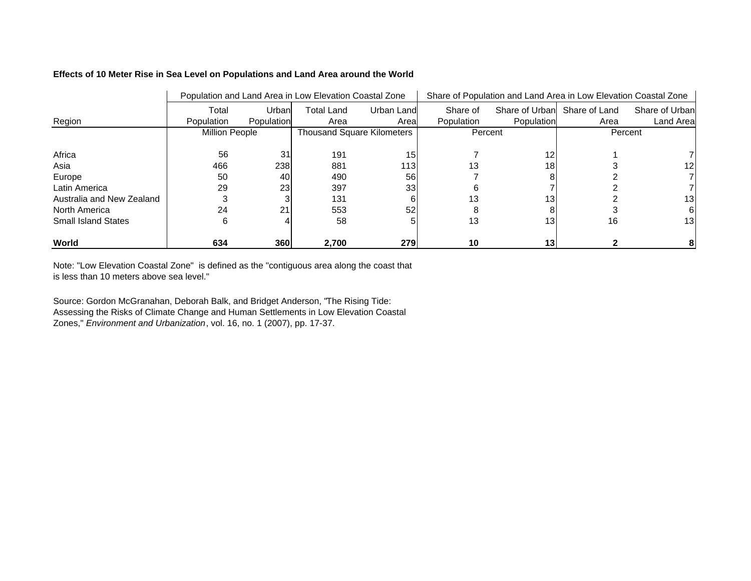## **Effects of 10 Meter Rise in Sea Level on Populations and Land Area around the World**

|                            | Population and Land Area in Low Elevation Coastal Zone | Share of Population and Land Area in Low Elevation Coastal Zone |                                   |                  |            |                 |                              |                |
|----------------------------|--------------------------------------------------------|-----------------------------------------------------------------|-----------------------------------|------------------|------------|-----------------|------------------------------|----------------|
|                            | Total                                                  | Urban                                                           | <b>Total Land</b>                 | Urban Land       | Share of   |                 | Share of Urban Share of Land | Share of Urban |
| Region                     | Population                                             | Population                                                      | Area                              | Areal            | Population | Population      | Area                         | Land Area      |
|                            | <b>Million People</b>                                  |                                                                 | <b>Thousand Square Kilometers</b> |                  | Percent    |                 | Percent                      |                |
| Africa                     | 56                                                     | 31                                                              | 191                               | 15               |            | 12              |                              |                |
| Asia                       | 466                                                    | 238                                                             | 881                               | 113 <sub>l</sub> | 13         | 18 <sub>1</sub> |                              |                |
| Europe                     | 50                                                     | 40I                                                             | 490                               | 56               |            |                 |                              |                |
| Latin America              | 29                                                     | 23I                                                             | 397                               | 33               |            |                 |                              |                |
| Australia and New Zealand  |                                                        |                                                                 | 131                               |                  |            |                 |                              | 13             |
| North America              | 24                                                     | 21                                                              | 553                               | 52               |            |                 |                              |                |
| <b>Small Island States</b> | 6                                                      |                                                                 | 58                                |                  | 13         | 13 <sub>l</sub> | 16                           | 13I            |
| World                      | 634                                                    | 360                                                             | 2,700                             | <b>279</b>       | 10         | 13 <sub>1</sub> |                              |                |

Note: "Low Elevation Coastal Zone" is defined as the "contiguous area along the coast that is less than 10 meters above sea level."

Source: Gordon McGranahan, Deborah Balk, and Bridget Anderson, "The Rising Tide: Assessing the Risks of Climate Change and Human Settlements in Low Elevation Coastal Zones," *Environment and Urbanization*, vol. 16, no. 1 (2007), pp. 17-37.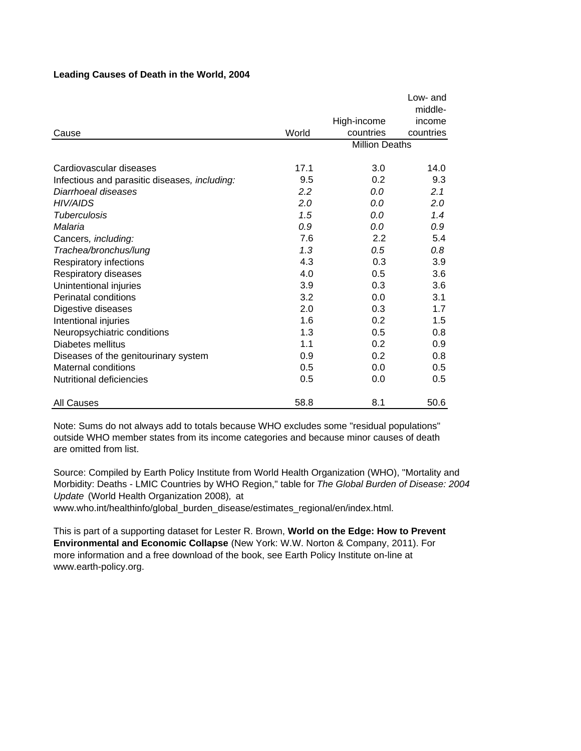|                                               |         |                       | Low- and  |
|-----------------------------------------------|---------|-----------------------|-----------|
|                                               |         |                       | middle-   |
|                                               |         | High-income           | income    |
| Cause                                         | World   | countries             | countries |
|                                               |         | <b>Million Deaths</b> |           |
|                                               |         |                       |           |
| Cardiovascular diseases                       | 17.1    | 3.0                   | 14.0      |
| Infectious and parasitic diseases, including: | 9.5     | 0.2                   | 9.3       |
| Diarrhoeal diseases                           | $2.2\,$ | 0.0                   | 2.1       |
| <b>HIV/AIDS</b>                               | 2.0     | 0.0                   | 2.0       |
| Tuberculosis                                  | 1.5     | 0.0                   | 1.4       |
| Malaria                                       | 0.9     | 0.0                   | 0.9       |
| Cancers, including:                           | 7.6     | 2.2                   | 5.4       |
| Trachea/bronchus/lung                         | 1.3     | 0.5                   | 0.8       |
| Respiratory infections                        | 4.3     | 0.3                   | 3.9       |
| Respiratory diseases                          | 4.0     | 0.5                   | 3.6       |
| Unintentional injuries                        | 3.9     | 0.3                   | 3.6       |
| Perinatal conditions                          | 3.2     | 0.0                   | 3.1       |
| Digestive diseases                            | 2.0     | 0.3                   | 1.7       |
| Intentional injuries                          | 1.6     | 0.2                   | 1.5       |
| Neuropsychiatric conditions                   | 1.3     | 0.5                   | 0.8       |
| Diabetes mellitus                             | 1.1     | 0.2                   | 0.9       |
| Diseases of the genitourinary system          | 0.9     | 0.2                   | 0.8       |
| Maternal conditions                           | 0.5     | 0.0                   | 0.5       |
| Nutritional deficiencies                      | 0.5     | 0.0                   | 0.5       |
| <b>All Causes</b>                             | 58.8    | 8.1                   | 50.6      |

## **Leading Causes of Death in the World, 2004**

Note: Sums do not always add to totals because WHO excludes some "residual populations" outside WHO member states from its income categories and because minor causes of death are omitted from list.

Source: Compiled by Earth Policy Institute from World Health Organization (WHO), "Mortality and Morbidity: Deaths - LMIC Countries by WHO Region," table for *The Global Burden of Disease: 2004 Update* (World Health Organization 2008)*,* at

www.who.int/healthinfo/global\_burden\_disease/estimates\_regional/en/index.html.

This is part of a supporting dataset for Lester R. Brown, **World on the Edge: How to Prevent Environmental and Economic Collapse** (New York: W.W. Norton & Company, 2011). For more information and a free download of the book, see Earth Policy Institute on-line at www.earth-policy.org.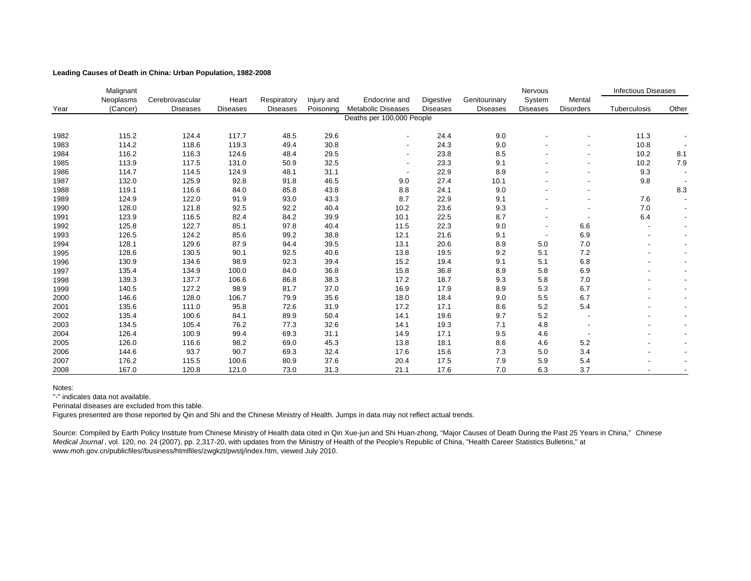### **Leading Causes of Death in China: Urban Population, 1982-2008**

|      | Malignant |                 |                 |                 |            |                           |                  |                 | Nervous         |                  | <b>Infectious Diseases</b> |                          |
|------|-----------|-----------------|-----------------|-----------------|------------|---------------------------|------------------|-----------------|-----------------|------------------|----------------------------|--------------------------|
|      | Neoplasms | Cerebrovascular | Heart           | Respiratory     | Injury and | Endocrine and             | <b>Digestive</b> | Genitourinary   | System          | Mental           |                            |                          |
| Year | (Cancer)  | <b>Diseases</b> | <b>Diseases</b> | <b>Diseases</b> | Poisoning  | <b>Metabolic Diseases</b> | <b>Diseases</b>  | <b>Diseases</b> | <b>Diseases</b> | <b>Disorders</b> | Tuberculosis               | Other                    |
|      |           |                 |                 |                 |            | Deaths per 100,000 People |                  |                 |                 |                  |                            |                          |
|      |           |                 |                 |                 |            |                           |                  |                 |                 |                  |                            |                          |
| 1982 | 115.2     | 124.4           | 117.7           | 48.5            | 29.6       |                           | 24.4             | 9.0             |                 |                  | 11.3                       |                          |
| 1983 | 114.2     | 118.6           | 119.3           | 49.4            | 30.8       |                           | 24.3             | 9.0             |                 |                  | 10.8                       |                          |
| 1984 | 116.2     | 116.3           | 124.6           | 48.4            | 29.5       |                           | 23.8             | 8.5             |                 |                  | 10.2                       | 8.1                      |
| 1985 | 113.9     | 117.5           | 131.0           | 50.9            | 32.5       |                           | 23.3             | 9.1             |                 |                  | 10.2                       | 7.9                      |
| 1986 | 114.7     | 114.5           | 124.9           | 48.1            | 31.1       |                           | 22.9             | 8.9             |                 |                  | 9.3                        |                          |
| 1987 | 132.0     | 125.9           | 92.8            | 91.8            | 46.5       | 9.0                       | 27.4             | 10.1            |                 |                  | 9.8                        |                          |
| 1988 | 119.1     | 116.6           | 84.0            | 85.8            | 43.8       | 8.8                       | 24.1             | 9.0             |                 |                  |                            | 8.3                      |
| 1989 | 124.9     | 122.0           | 91.9            | 93.0            | 43.3       | 8.7                       | 22.9             | 9.1             |                 |                  | 7.6                        |                          |
| 1990 | 128.0     | 121.8           | 92.5            | 92.2            | 40.4       | 10.2                      | 23.6             | 9.3             |                 |                  | 7.0                        |                          |
| 1991 | 123.9     | 116.5           | 82.4            | 84.2            | 39.9       | 10.1                      | 22.5             | 8.7             |                 |                  | 6.4                        |                          |
| 1992 | 125.8     | 122.7           | 85.1            | 97.8            | 40.4       | 11.5                      | 22.3             | 9.0             |                 | 6.6              |                            | $\overline{\phantom{a}}$ |
| 1993 | 126.5     | 124.2           | 85.6            | 99.2            | 38.8       | 12.1                      | 21.6             | 9.1             |                 | 6.9              |                            |                          |
| 1994 | 128.1     | 129.6           | 87.9            | 94.4            | 39.5       | 13.1                      | 20.6             | 8.9             | 5.0             | 7.0              |                            |                          |
| 1995 | 128.6     | 130.5           | 90.1            | 92.5            | 40.6       | 13.8                      | 19.5             | 9.2             | 5.1             | 7.2              |                            |                          |
| 1996 | 130.9     | 134.6           | 98.9            | 92.3            | 39.4       | 15.2                      | 19.4             | 9.1             | 5.1             | 6.8              |                            |                          |
| 1997 | 135.4     | 134.9           | 100.0           | 84.0            | 36.8       | 15.8                      | 36.8             | 8.9             | 5.8             | 6.9              |                            |                          |
| 1998 | 139.3     | 137.7           | 106.6           | 86.8            | 38.3       | 17.2                      | 18.7             | 9.3             | 5.8             | 7.0              |                            |                          |
| 1999 | 140.5     | 127.2           | 98.9            | 81.7            | 37.0       | 16.9                      | 17.9             | 8.9             | 5.3             | 6.7              |                            |                          |
| 2000 | 146.6     | 128.0           | 106.7           | 79.9            | 35.6       | 18.0                      | 18.4             | 9.0             | 5.5             | 6.7              |                            |                          |
| 2001 | 135.6     | 111.0           | 95.8            | 72.6            | 31.9       | 17.2                      | 17.1             | 8.6             | 5.2             | 5.4              |                            |                          |
| 2002 | 135.4     | 100.6           | 84.1            | 89.9            | 50.4       | 14.1                      | 19.6             | 9.7             | 5.2             |                  |                            |                          |
| 2003 | 134.5     | 105.4           | 76.2            | 77.3            | 32.6       | 14.1                      | 19.3             | 7.1             | 4.8             |                  |                            |                          |
| 2004 | 126.4     | 100.9           | 99.4            | 69.3            | 31.1       | 14.9                      | 17.1             | 9.5             | 4.6             |                  |                            |                          |
| 2005 | 126.0     | 116.6           | 98.2            | 69.0            | 45.3       | 13.8                      | 18.1             | 8.6             | 4.6             | 5.2              |                            |                          |
| 2006 | 144.6     | 93.7            | 90.7            | 69.3            | 32.4       | 17.6                      | 15.6             | 7.3             | 5.0             | 3.4              |                            |                          |
| 2007 | 176.2     | 115.5           | 100.6           | 80.9            | 37.6       | 20.4                      | 17.5             | 7.9             | 5.9             | 5.4              |                            |                          |
| 2008 | 167.0     | 120.8           | 121.0           | 73.0            | 31.3       | 21.1                      | 17.6             | 7.0             | 6.3             | 3.7              |                            |                          |

Notes:

"-" indicates data not available.

Perinatal diseases are excluded from this table.

Figures presented are those reported by Qin and Shi and the Chinese Ministry of Health. Jumps in data may not reflect actual trends.

Source: Compiled by Earth Policy Institute from Chinese Ministry of Health data cited in Qin Xue-jun and Shi Huan-zhong, "Major Causes of Death During the Past 25 Years in China," *Chinese Medical Journal* , vol. 120, no. 24 (2007), pp. 2,317-20, with updates from the Ministry of Health of the People's Republic of China, "Health Career Statistics Bulletins," at www.moh.gov.cn/publicfiles//business/htmlfiles/zwgkzt/pwstj/index.htm, viewed July 2010.